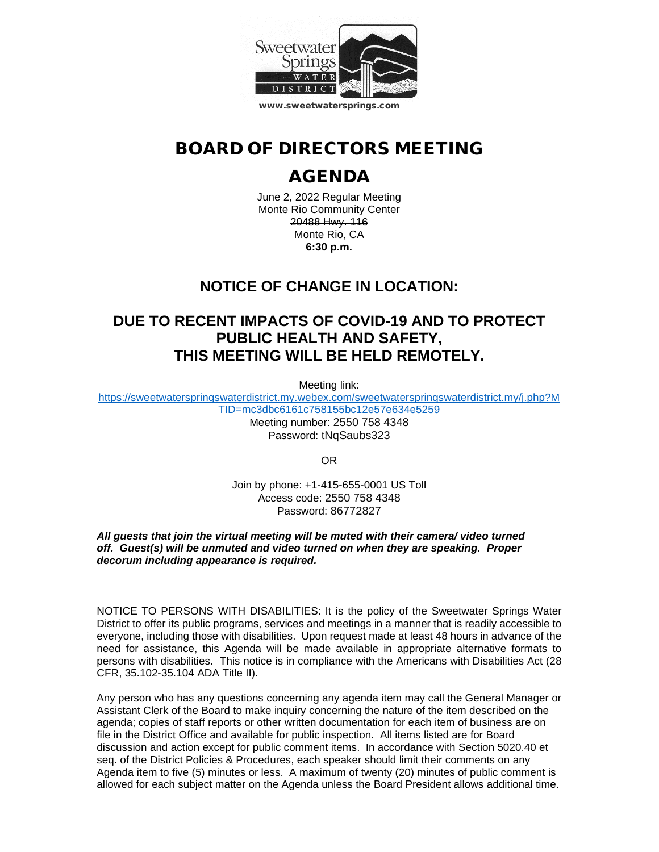

# BOARD OF DIRECTORS MEETING

# AGENDA

June 2, 2022 Regular Meeting Monte Rio Community Center 20488 Hwy. 116 Monte Rio, CA **6:30 p.m.**

# **NOTICE OF CHANGE IN LOCATION:**

# **DUE TO RECENT IMPACTS OF COVID-19 AND TO PROTECT PUBLIC HEALTH AND SAFETY, THIS MEETING WILL BE HELD REMOTELY.**

Meeting link:

[https://sweetwaterspringswaterdistrict.my.webex.com/sweetwaterspringswaterdistrict.my/j.php?M](https://sweetwaterspringswaterdistrict.my.webex.com/sweetwaterspringswaterdistrict.my/j.php?MTID=mc3dbc6161c758155bc12e57e634e5259) [TID=mc3dbc6161c758155bc12e57e634e5259](https://sweetwaterspringswaterdistrict.my.webex.com/sweetwaterspringswaterdistrict.my/j.php?MTID=mc3dbc6161c758155bc12e57e634e5259)

Meeting number: 2550 758 4348 Password: tNqSaubs323

OR

Join by phone: +1-415-655-0001 US Toll Access code: 2550 758 4348 Password: 86772827

#### *All guests that join the virtual meeting will be muted with their camera/ video turned off. Guest(s) will be unmuted and video turned on when they are speaking. Proper decorum including appearance is required.*

NOTICE TO PERSONS WITH DISABILITIES: It is the policy of the Sweetwater Springs Water District to offer its public programs, services and meetings in a manner that is readily accessible to everyone, including those with disabilities. Upon request made at least 48 hours in advance of the need for assistance, this Agenda will be made available in appropriate alternative formats to persons with disabilities. This notice is in compliance with the Americans with Disabilities Act (28 CFR, 35.102-35.104 ADA Title II).

Any person who has any questions concerning any agenda item may call the General Manager or Assistant Clerk of the Board to make inquiry concerning the nature of the item described on the agenda; copies of staff reports or other written documentation for each item of business are on file in the District Office and available for public inspection. All items listed are for Board discussion and action except for public comment items. In accordance with Section 5020.40 et seq. of the District Policies & Procedures, each speaker should limit their comments on any Agenda item to five (5) minutes or less. A maximum of twenty (20) minutes of public comment is allowed for each subject matter on the Agenda unless the Board President allows additional time.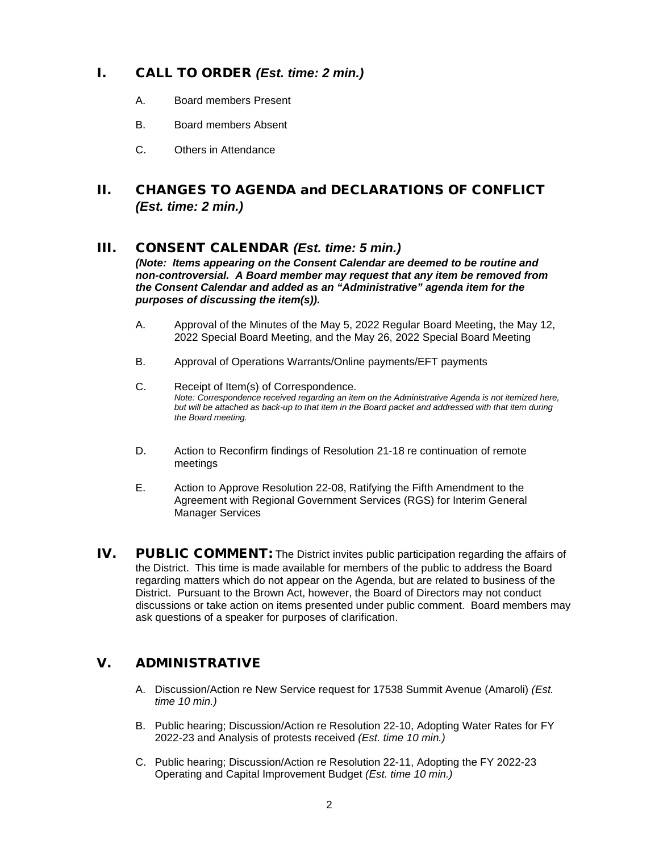## I. CALL TO ORDER *(Est. time: 2 min.)*

- A. Board members Present
- B. Board members Absent
- C. Others in Attendance

### II. CHANGES TO AGENDA and DECLARATIONS OF CONFLICT *(Est. time: 2 min.)*

#### III. CONSENT CALENDAR *(Est. time: 5 min.)*

*(Note: Items appearing on the Consent Calendar are deemed to be routine and non-controversial. A Board member may request that any item be removed from the Consent Calendar and added as an "Administrative" agenda item for the purposes of discussing the item(s)).*

- A. Approval of the Minutes of the May 5, 2022 Regular Board Meeting, the May 12, 2022 Special Board Meeting, and the May 26, 2022 Special Board Meeting
- B. Approval of Operations Warrants/Online payments/EFT payments
- C. Receipt of Item(s) of Correspondence. *Note: Correspondence received regarding an item on the Administrative Agenda is not itemized here, but will be attached as back-up to that item in the Board packet and addressed with that item during the Board meeting.*
- D. Action to Reconfirm findings of Resolution 21-18 re continuation of remote meetings
- E. Action to Approve Resolution 22-08, Ratifying the Fifth Amendment to the Agreement with Regional Government Services (RGS) for Interim General Manager Services
- IV. PUBLIC COMMENT: The District invites public participation regarding the affairs of the District. This time is made available for members of the public to address the Board regarding matters which do not appear on the Agenda, but are related to business of the District. Pursuant to the Brown Act, however, the Board of Directors may not conduct discussions or take action on items presented under public comment. Board members may ask questions of a speaker for purposes of clarification.

### V. ADMINISTRATIVE

- A. Discussion/Action re New Service request for 17538 Summit Avenue (Amaroli) *(Est. time 10 min.)*
- B. Public hearing; Discussion/Action re Resolution 22-10, Adopting Water Rates for FY 2022-23 and Analysis of protests received *(Est. time 10 min.)*
- C. Public hearing; Discussion/Action re Resolution 22-11, Adopting the FY 2022-23 Operating and Capital Improvement Budget *(Est. time 10 min.)*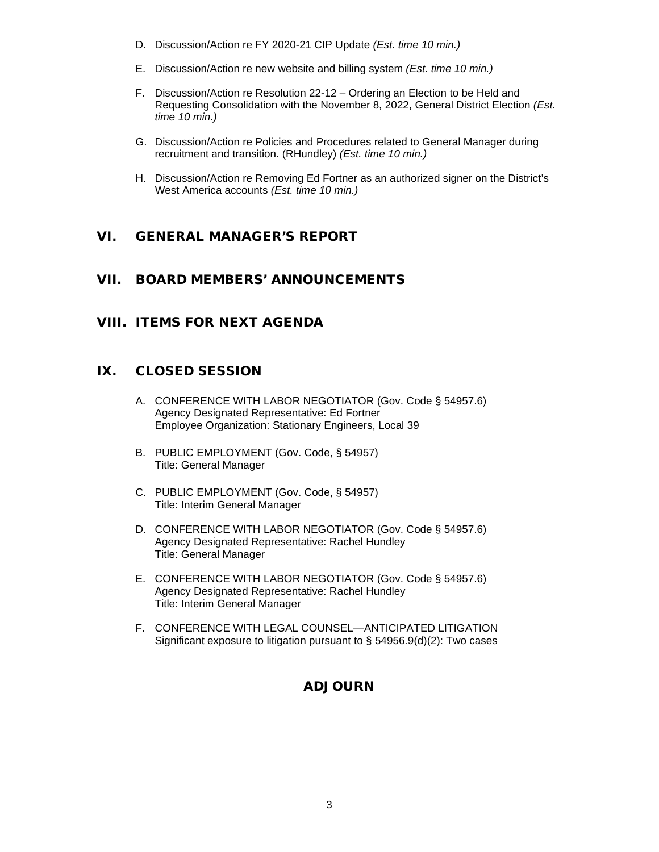- D. Discussion/Action re FY 2020-21 CIP Update *(Est. time 10 min.)*
- E. Discussion/Action re new website and billing system *(Est. time 10 min.)*
- F. Discussion/Action re Resolution 22-12 Ordering an Election to be Held and Requesting Consolidation with the November 8, 2022, General District Election *(Est. time 10 min.)*
- G. Discussion/Action re Policies and Procedures related to General Manager during recruitment and transition. (RHundley) *(Est. time 10 min.)*
- H. Discussion/Action re Removing Ed Fortner as an authorized signer on the District's West America accounts *(Est. time 10 min.)*

### VI. GENERAL MANAGER'S REPORT

### VII. BOARD MEMBERS' ANNOUNCEMENTS

#### VIII. ITEMS FOR NEXT AGENDA

### IX. CLOSED SESSION

- A. CONFERENCE WITH LABOR NEGOTIATOR (Gov. Code § 54957.6) Agency Designated Representative: Ed Fortner Employee Organization: Stationary Engineers, Local 39
- B. PUBLIC EMPLOYMENT (Gov. Code, § 54957) Title: General Manager
- C. PUBLIC EMPLOYMENT (Gov. Code, § 54957) Title: Interim General Manager
- D. CONFERENCE WITH LABOR NEGOTIATOR (Gov. Code § 54957.6) Agency Designated Representative: Rachel Hundley Title: General Manager
- E. CONFERENCE WITH LABOR NEGOTIATOR (Gov. Code § 54957.6) Agency Designated Representative: Rachel Hundley Title: Interim General Manager
- F. CONFERENCE WITH LEGAL COUNSEL—ANTICIPATED LITIGATION Significant exposure to litigation pursuant to § 54956.9(d)(2): Two cases

### ADJOURN